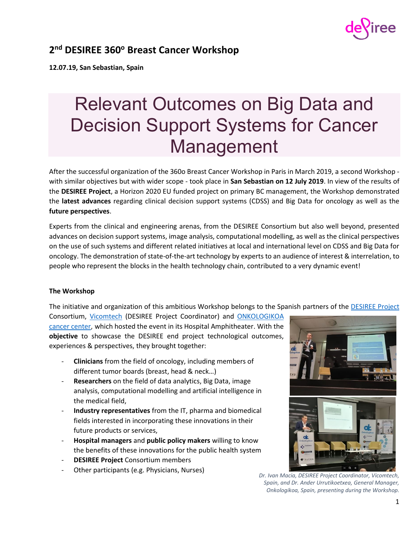

## **2 nd DESIREE 360<sup>ο</sup> Breast Cancer Workshop**

**12.07.19, San Sebastian, Spain**

# Relevant Outcomes on Big Data and Decision Support Systems for Cancer Management

After the successful organization of the 360o Breast Cancer Workshop in Paris in March 2019, a second Workshop with similar objectives but with wider scope - took place in **San Sebastian on 12 July 2019**. In view of the results of the **DESIREE Project**, a Horizon 2020 EU funded project on primary BC management, the Workshop demonstrated the **latest advances** regarding clinical decision support systems (CDSS) and Big Data for oncology as well as the **future perspectives**.

Experts from the clinical and engineering arenas, from the DESIREE Consortium but also well beyond, presented advances on decision support systems, image analysis, computational modelling, as well as the clinical perspectives on the use of such systems and different related initiatives at local and international level on CDSS and Big Data for oncology. The demonstration of state-of-the-art technology by experts to an audience of interest & interrelation, to people who represent the blocks in the health technology chain, contributed to a very dynamic event!

### **The Workshop**

The initiative and organization of this ambitious Workshop belongs to the Spanish partners of the [DESIREE Project](http://desiree-project.eu/content/consortium)

Consortium, [Vicomtech](http://www.vicomtech.org/) (DESIREE Project Coordinator) and [ONKOLOGIKOA](https://www.onkologikoa.org/) cancer center, which hosted the event in its Hospital Amphitheater. With the **objective** to showcase the DESIREE end project technological outcomes, experiences & perspectives, they brought together:

- **Clinicians** from the field of oncology, including members of different tumor boards (breast, head & neck…)
- **Researchers** on the field of data analytics, Big Data, image analysis, computational modelling and artificial intelligence in the medical field,
- **Industry representatives** from the IT, pharma and biomedical fields interested in incorporating these innovations in their future products or services,
- **Hospital managers** and **public policy makers** willing to know the benefits of these innovations for the public health system
- **DESIREE Project Consortium members**
- Other participants (e.g. Physicians, Nurses)



*Dr. Ivan Macia, DESIREE Project Coordinator, Vicomtech, Spain, and Dr. Ander Urrutikoetxea, General Manager, Onkologikoa, Spain, presenting during the Workshop.*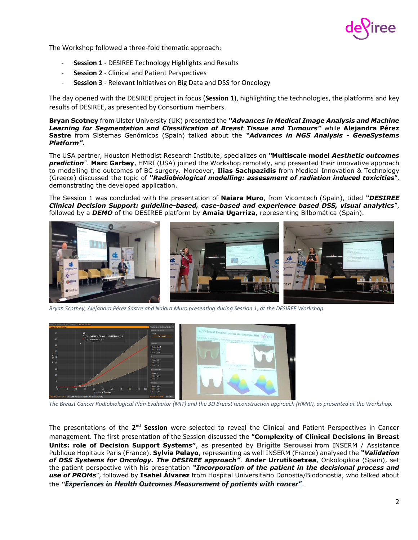

The Workshop followed a three-fold thematic approach:

- **Session 1** DESIREE Technology Highlights and Results
- **Session 2** Clinical and Patient Perspectives
- **Session 3** Relevant Initiatives on Big Data and DSS for Oncology

The day opened with the DESIREE project in focus (**Session 1**), highlighting the technologies, the platforms and key results of DESIREE, as presented by Consortium members.

**Bryan Scotney** from Ulster University (UK) presented the *"Advances in Medical Image Analysis and Machine Learning for Segmentation and Classification of Breast Tissue and Tumours"* while **Alejandra Pérez Sastre** from Sistemas Genómicos (Spain) talked about the *"Advances in NGS Analysis - GeneSystems Platform"*.

The USA partner, Houston Methodist Research Institute, specializes on *"***Multiscale model** *Aesthetic outcomes prediction*". **Marc Garbey**, HMRI (USA) joined the Workshop remotely, and presented their innovative approach to modelling the outcomes of BC surgery. Moreover, **Ilias Sachpazidis** from Medical Innovation & Technology (Greece) discussed the topic of *"Radiobiological modelling: assessment of radiation induced toxicities*", demonstrating the developed application.

The Session 1 was concluded with the presentation of **Naiara Muro**, from Vicomtech (Spain), titled *"DESIREE Clinical Decision Support: guideline-based, case-based and experience based DSS, visual analytics*", followed by a *DEMO* of the DESIREE platform by **Amaia Ugarriza**, representing Bilbomática (Spain).



*Bryan Scotney, Alejandra Pérez Sastre and Naiara Muro presenting during Session 1, at the DESIREE Workshop.*



*The Breast Cancer Radiobiological Plan Evaluator (MIT) and the 3D Breast reconstruction approach (HMRI), as presented at the Workshop.*

The presentations of the 2<sup>nd</sup> Session were selected to reveal the Clinical and Patient Perspectives in Cancer management. The first presentation of the Session discussed the **"Complexity of Clinical Decisions in Breast Units: role of Decision Support Systems"**, as presented by **Brigitte Seroussi** from INSERM / Assistance Publique Hopitaux Paris (France). **Sylvia Pelayo**, representing as well INSERM (France) analysed the *"Validation of DSS Systems for Oncology. The DESIREE approach"*. **Ander Urrutikoetxea**, Onkologikoa (Spain), set the patient perspective with his presentation *"Incorporation of the patient in the decisional process and use of PROMs*", followed by **Isabel Álvarez** from Hospital Universitario Donostia/Biodonostia, who talked about the *"Experiences in Health Outcomes Measurement of patients with cancer"*.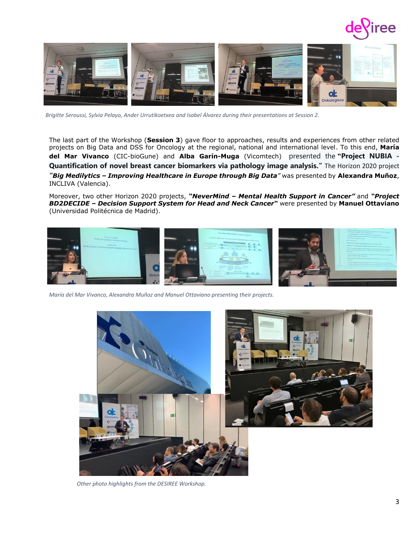



*Brigitte Seroussi, Sylvia Pelayo, Ander Urrutikoetxea and Isabel Álvarez during their presentations at Session 2.* 

The last part of the Workshop (**Session 3**) gave floor to approaches, results and experiences from other related projects on Big Data and DSS for Oncology at the regional, national and international level. To this end, **María del Mar Vivanco** (CIC-bioGune) and **Alba Garín-Muga** (Vicomtech) presented the **"Project NUBIA - Quantification of novel breast cancer biomarkers via pathology image analysis."** The Horizon 2020 project *"Big Medilytics – Improving Healthcare in Europe through Big Data"* was presented by **Alexandra Muñoz**, INCLIVA (Valencia).

Moreover, two other Horizon 2020 projects, *"NeverMind – Mental Health Support in Cancer"* and *"Project BD2DECIDE – Decision Support System for Head and Neck Cancer"* were presented by **Manuel Ottaviano** (Universidad Politécnica de Madrid).



*María del Mar Vivanco, Alexandra Muñoz and Manuel Ottaviano presenting their projects.*



*Other photo highlights from the DESIREE Workshop.*